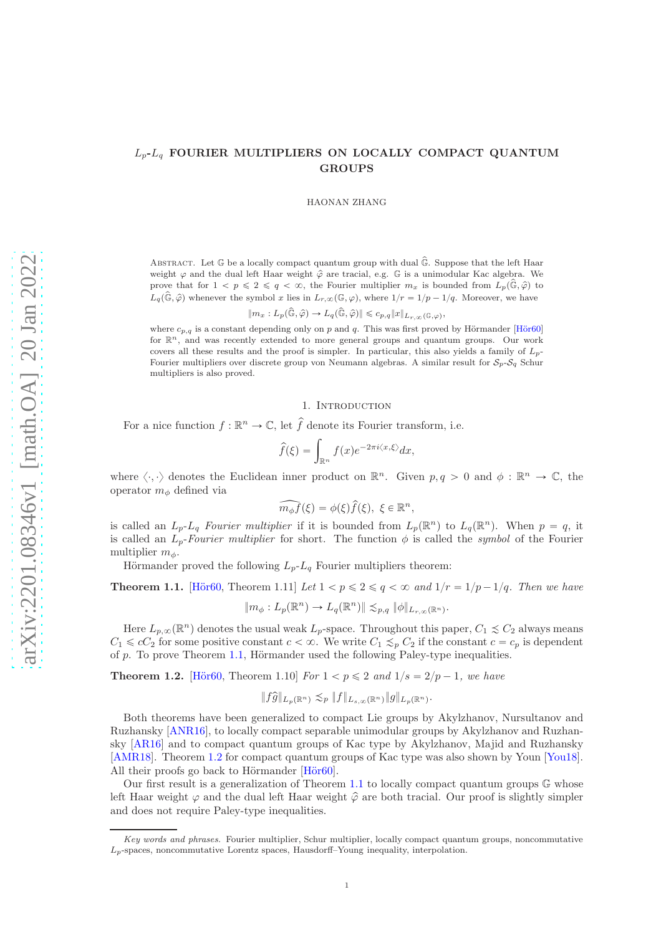# $L_p$ - $L_q$  FOURIER MULTIPLIERS ON LOCALLY COMPACT QUANTUM GROUPS

HAONAN ZHANG

ABSTRACT. Let  $\mathbb G$  be a locally compact quantum group with dual  $\hat{\mathbb G}$ . Suppose that the left Haar weight  $\varphi$  and the dual left Haar weight  $\hat{\varphi}$  are tracial, e.g. G is a unimodular Kac algebra. We prove that for  $1 < p \leq 2 \leq q < \infty$ , the Fourier multiplier  $m_x$  is bounded from  $L_p(\hat{\mathbb{G}}, \hat{\varphi})$  to  $L_q(\hat{\mathbb{G}},\hat{\varphi})$  whenever the symbol x lies in  $L_{r,\infty}(\mathbb{G},\varphi)$ , where  $1/r = 1/p - 1/q$ . Moreover, we have

 $\|m_x: L_p(\hat{\mathbb{G}}, \hat{\varphi}) \to L_q(\hat{\mathbb{G}}, \hat{\varphi}) \| \leqslant c_{p,q} \|x\|_{L_{r,\infty}(\mathbb{G},\varphi)},$ 

where  $c_{p,q}$  is a constant depending only on p and q. This was first proved by Hörmander [Hör60] for  $\mathbb{R}^n$ , and was recently extended to more general groups and quantum groups. Our work covers all these results and the proof is simpler. In particular, this also yields a family of  $L_p$ -Fourier multipliers over discrete group von Neumann algebras. A similar result for  $S_p-S_q$  Schur multipliers is also proved.

#### 1. INTRODUCTION

For a nice function  $f : \mathbb{R}^n \to \mathbb{C}$ , let  $\hat{f}$  denote its Fourier transform, i.e.

$$
\widehat{f}(\xi) = \int_{\mathbb{R}^n} f(x) e^{-2\pi i \langle x, \xi \rangle} dx,
$$

where  $\langle \cdot, \cdot \rangle$  denotes the Euclidean inner product on  $\mathbb{R}^n$ . Given  $p, q > 0$  and  $\phi : \mathbb{R}^n \to \mathbb{C}$ , the operator  $m_{\phi}$  defined via

$$
\widehat{m_{\phi}f}(\xi) = \phi(\xi)\widehat{f}(\xi), \ \xi \in \mathbb{R}^n,
$$

is called an  $L_p$ - $L_q$  Fourier multiplier if it is bounded from  $L_p(\mathbb{R}^n)$  to  $L_q(\mathbb{R}^n)$ . When  $p = q$ , it is called an  $L_p$ -Fourier multiplier for short. The function  $\phi$  is called the symbol of the Fourier multiplier  $m_{\phi}$ .

Hörmander proved the following  $L_p-L_q$  Fourier multipliers theorem:

<span id="page-0-0"></span>**Theorem 1.1.** [Hör60, Theorem 1.11] Let  $1 < p \leq 2 \leq q < \infty$  and  $1/r = 1/p - 1/q$ . Then we have

 $\|m_{\phi}: L_p(\mathbb{R}^n) \to L_q(\mathbb{R}^n) \| \lesssim_{p,q} \|\phi\|_{L_{r,\infty}(\mathbb{R}^n)}.$ 

Here  $L_{p,\infty}(\mathbb{R}^n)$  denotes the usual weak  $L_p$ -space. Throughout this paper,  $C_1 \precsim C_2$  always means  $C_1 \leqslant cC_2$  for some positive constant  $c < \infty$ . We write  $C_1 \leqslant_p C_2$  if the constant  $c = c_p$  is dependent of  $p$ . To prove Theorem [1.1,](#page-0-0) Hörmander used the following Paley-type inequalities.

<span id="page-0-1"></span>**Theorem 1.2.** [Hör60, Theorem 1.10] For  $1 < p \le 2$  and  $1/s = 2/p - 1$ , we have

$$
||f\widehat{g}||_{L_p(\mathbb{R}^n)} \lesssim_p ||f||_{L_{s,\infty}(\mathbb{R}^n)} ||g||_{L_p(\mathbb{R}^n)}.
$$

Both theorems have been generalized to compact Lie groups by Akylzhanov, Nursultanov and Ruzhansky [\[ANR16\]](#page-11-1), to locally compact separable unimodular groups by Akylzhanov and Ruzhansky [\[AR16\]](#page-11-2) and to compact quantum groups of Kac type by Akylzhanov, Majid and Ruzhansky [\[AMR18\]](#page-11-3). Theorem [1.2](#page-0-1) for compact quantum groups of Kac type was also shown by Youn [\[You18\]](#page-12-0). All their proofs go back to Hörmander  $[H\ddot{o}r60]$ .

Our first result is a generalization of Theorem [1.1](#page-0-0) to locally compact quantum groups  $\mathbb{G}$  whose left Haar weight  $\varphi$  and the dual left Haar weight  $\hat{\varphi}$  are both tracial. Our proof is slightly simpler and does not require Paley-type inequalities.

Key words and phrases. Fourier multiplier, Schur multiplier, locally compact quantum groups, noncommutative  $L_p$ -spaces, noncommutative Lorentz spaces, Hausdorff–Young inequality, interpolation.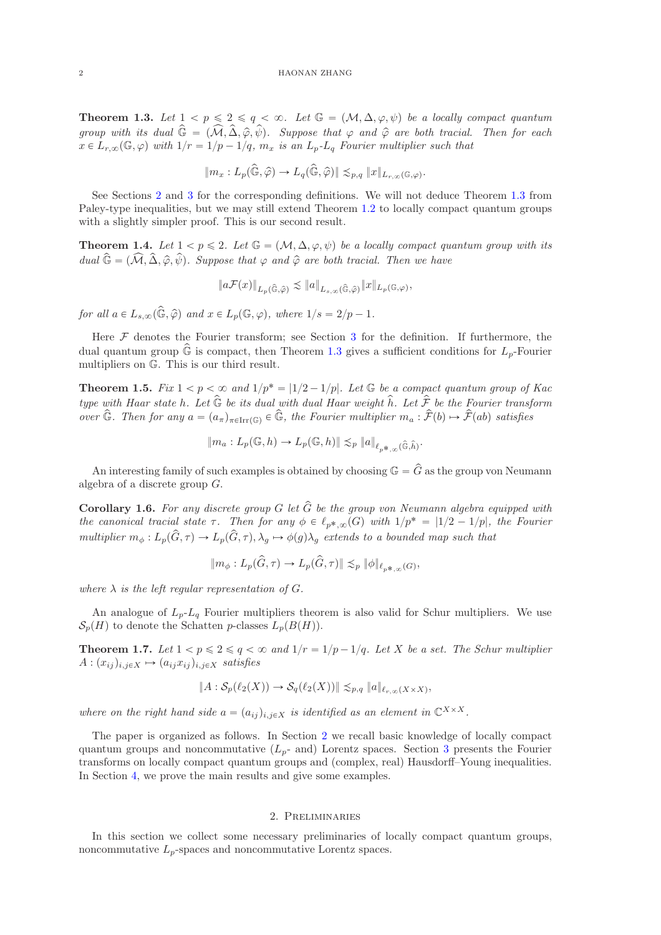<span id="page-1-1"></span>**Theorem 1.3.** Let  $1 < p \leq 2 \leq q < \infty$ . Let  $\mathbb{G} = (\mathcal{M}, \Delta, \varphi, \psi)$  be a locally compact quantum group with its dual  $\hat{\mathbb{G}} = (\widehat{\mathcal{M}}, \widehat{\Delta}, \widehat{\varphi}, \widehat{\psi})$ . Suppose that  $\varphi$  and  $\widehat{\varphi}$  are both tracial. Then for each  $x \in L_{r,\infty}(\mathbb{G}, \varphi)$  with  $1/r = 1/p - 1/q$ ,  $m_x$  is an  $L_p$ - $L_q$  Fourier multiplier such that

$$
||m_x: L_p(\widehat{\mathbb{G}}, \widehat{\varphi}) \to L_q(\widehat{\mathbb{G}}, \widehat{\varphi})|| \lesssim_{p,q} ||x||_{L_{r,\infty}(\mathbb{G},\varphi)}.
$$

See Sections [2](#page-1-0) and [3](#page-5-0) for the corresponding definitions. We will not deduce Theorem [1.3](#page-1-1) from Paley-type inequalities, but we may still extend Theorem [1.2](#page-0-1) to locally compact quantum groups with a slightly simpler proof. This is our second result.

<span id="page-1-2"></span>**Theorem 1.4.** Let  $1 < p \le 2$ . Let  $\mathbb{G} = (\mathcal{M}, \Delta, \varphi, \psi)$  be a locally compact quantum group with its dual  $\hat{\mathbb{G}} = (\widehat{\mathcal{M}}, \widehat{\Delta}, \widehat{\varphi}, \widehat{\psi})$ . Suppose that  $\varphi$  and  $\widehat{\varphi}$  are both tracial. Then we have

$$
||a\mathcal{F}(x)||_{L_p(\widehat{\mathbb{G}},\widehat{\varphi})} \preceq ||a||_{L_{s,\infty}(\widehat{\mathbb{G}},\widehat{\varphi})} ||x||_{L_p(\mathbb{G},\varphi)},
$$

for all  $a \in L_{s,\infty}(\widehat{\mathbb{G}}, \widehat{\varphi})$  and  $x \in L_p(\mathbb{G}, \varphi)$ , where  $1/s = 2/p - 1$ .

Here  $\mathcal F$  denotes the Fourier transform; see Section [3](#page-5-0) for the definition. If furthermore, the dual quantum group  $\hat{\mathbb{G}}$  is compact, then Theorem [1.3](#page-1-1) gives a sufficient conditions for  $L_p$ -Fourier multipliers on G. This is our third result.

<span id="page-1-3"></span>**Theorem 1.5.** Fix  $1 < p < \infty$  and  $1/p^* = |1/2 - 1/p|$ . Let G be a compact quantum group of Kac type with Haar state h. Let  $\widehat{\mathbb{G}}$  be its dual with dual Haar weight  $\widehat{h}$ . Let  $\widehat{\mathcal{F}}$  be the Fourier transform over  $\widehat{\mathbb{G}}$ . Then for any  $a = (a_{\pi})_{\pi \in \text{Irr}(\mathbb{G})} \in \widehat{\mathbb{G}}$ , the Fourier multiplier  $m_a : \widehat{\mathcal{F}}(b) \mapsto \widehat{\mathcal{F}}(ab)$  satisfies

$$
\|m_a: L_p(\mathbb{G}, h) \to L_p(\mathbb{G}, h)\| \lesssim_p \|a\|_{\ell_{p^*,\infty}(\widehat{\mathbb{G}}, \widehat{h})}.
$$

An interesting family of such examples is obtained by choosing  $\mathbb{G} = \hat{G}$  as the group von Neumann algebra of a discrete group G.

<span id="page-1-4"></span>**Corollary 1.6.** For any discrete group G let  $\hat{G}$  be the group von Neumann algebra equipped with the canonical tracial state  $\tau$ . Then for any  $\phi \in \ell_{p^*,\infty}(G)$  with  $1/p^* = |1/2 - 1/p|$ , the Fourier multiplier  $m_{\phi}: L_p(\hat{G}, \tau) \to L_p(\hat{G}, \tau), \lambda_g \mapsto \phi(g)\lambda_g$  extends to a bounded map such that

$$
||m_{\phi}: L_p(\hat{G}, \tau) \to L_p(\hat{G}, \tau)|| \lesssim_p ||\phi||_{\ell_{p^*,\infty}(G)},
$$

where  $\lambda$  is the left regular representation of G.

An analogue of  $L_p-L_q$  Fourier multipliers theorem is also valid for Schur multipliers. We use  $S_p(H)$  to denote the Schatten p-classes  $L_p(B(H))$ 

<span id="page-1-5"></span>**Theorem 1.7.** Let  $1 < p \leq 2 \leq q < \infty$  and  $1/r = 1/p - 1/q$ . Let X be a set. The Schur multiplier  $A: (x_{ij})_{i,j\in X} \mapsto (a_{ij}x_{ij})_{i,j\in X}$  satisfies

$$
||A:\mathcal{S}_p(\ell_2(X))\to \mathcal{S}_q(\ell_2(X))||\lesssim_{p,q} ||a||_{\ell_{r,\infty}(X\times X)},
$$

where on the right hand side  $a = (a_{ij})_{i,j \in X}$  is identified as an element in  $\mathbb{C}^{X \times X}$ .

The paper is organized as follows. In Section [2](#page-1-0) we recall basic knowledge of locally compact quantum groups and noncommutative  $(L_p$ - and) Lorentz spaces. Section [3](#page-5-0) presents the Fourier transforms on locally compact quantum groups and (complex, real) Hausdorff–Young inequalities. In Section [4,](#page-8-0) we prove the main results and give some examples.

## 2. Preliminaries

<span id="page-1-0"></span>In this section we collect some necessary preliminaries of locally compact quantum groups, noncommutative  $L_p$ -spaces and noncommutative Lorentz spaces.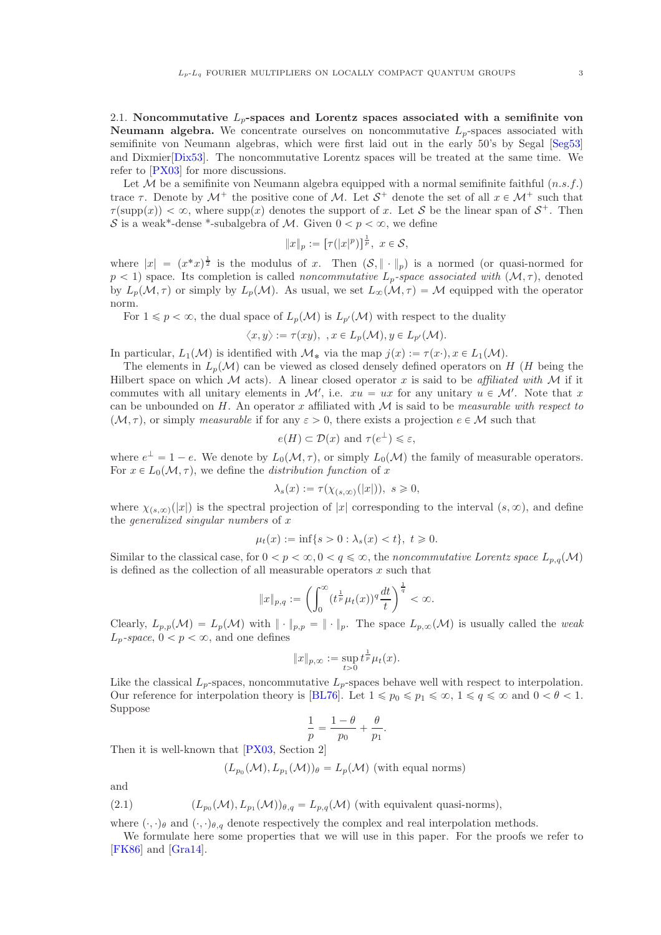2.1. Noncommutative  $L_p$ -spaces and Lorentz spaces associated with a semifinite von **Neumann algebra.** We concentrate ourselves on noncommutative  $L_n$ -spaces associated with semifinite von Neumann algebras, which were first laid out in the early 50's by Segal [\[Seg53\]](#page-12-1) and Dixmier[\[Dix53\]](#page-11-4). The noncommutative Lorentz spaces will be treated at the same time. We refer to [\[PX03\]](#page-12-2) for more discussions.

Let  $M$  be a semifinite von Neumann algebra equipped with a normal semifinite faithful  $(n.s.f.)$ trace  $\tau$ . Denote by  $\mathcal{M}^+$  the positive cone of  $\mathcal{M}$ . Let  $\mathcal{S}^+$  denote the set of all  $x \in \mathcal{M}^+$  such that  $\tau(\text{supp}(x)) < \infty$ , where supp $(x)$  denotes the support of x. Let S be the linear span of  $S^+$ . Then S is a weak\*-dense \*-subalgebra of M. Given  $0 < p < \infty$ , we define

$$
||x||_p := \left[\tau(|x|^p)\right]^{\frac{1}{p}}, \ x \in \mathcal{S},
$$

where  $|x| = (x^*x)^{\frac{1}{2}}$  is the modulus of x. Then  $(\mathcal{S}, \|\cdot\|_p)$  is a normed (or quasi-normed for  $p < 1$ ) space. Its completion is called *noncommutative*  $L_p$ -space associated with  $(M, \tau)$ , denoted by  $L_p(\mathcal{M}, \tau)$  or simply by  $L_p(\mathcal{M})$ . As usual, we set  $L_\infty(\mathcal{M}, \tau) = \mathcal{M}$  equipped with the operator norm.

For  $1 \leqslant p < \infty$ , the dual space of  $L_p(\mathcal{M})$  is  $L_{p'}(\mathcal{M})$  with respect to the duality

$$
\langle x, y \rangle := \tau(xy), \ \ x \in L_p(\mathcal{M}), y \in L_{p'}(\mathcal{M}).
$$

In particular,  $L_1(\mathcal{M})$  is identified with  $\mathcal{M}_*$  via the map  $j(x) := \tau(x \cdot), x \in L_1(\mathcal{M})$ .

The elements in  $L_p(\mathcal{M})$  can be viewed as closed densely defined operators on H (H being the Hilbert space on which M acts). A linear closed operator x is said to be affiliated with M if it commutes with all unitary elements in  $\mathcal{M}'$ , i.e.  $xu = ux$  for any unitary  $u \in \mathcal{M}'$ . Note that x can be unbounded on  $H$ . An operator x affiliated with  $M$  is said to be *measurable with respect to*  $(M, \tau)$ , or simply measurable if for any  $\varepsilon > 0$ , there exists a projection  $e \in M$  such that

$$
e(H) \subset \mathcal{D}(x)
$$
 and  $\tau(e^{\perp}) \leq \varepsilon$ ,

where  $e^{\perp} = 1 - e$ . We denote by  $L_0(\mathcal{M}, \tau)$ , or simply  $L_0(\mathcal{M})$  the family of measurable operators. For  $x \in L_0(\mathcal{M}, \tau)$ , we define the *distribution function* of x

$$
\lambda_s(x) := \tau(\chi_{(s,\infty)}(|x|)), \ s \geq 0,
$$

where  $\chi_{(s,\infty)}(|x|)$  is the spectral projection of |x| corresponding to the interval  $(s,\infty)$ , and define the *generalized singular numbers* of  $x$ 

$$
\mu_t(x) := \inf\{s > 0 : \lambda_s(x) < t\}, \ t \geq 0.
$$

Similar to the classical case, for  $0 < p < \infty, 0 < q \leq \infty$ , the noncommutative Lorentz space  $L_{p,q}(\mathcal{M})$ is defined as the collection of all measurable operators  $x$  such that

$$
\|x\|_{p,q}:=\left(\int_0^\infty(t^{\frac{1}{p}}\mu_t(x))^q\frac{dt}{t}\right)^{\frac{1}{q}}<\infty.
$$

Clearly,  $L_{p,p}(\mathcal{M}) = L_p(\mathcal{M})$  with  $\|\cdot\|_{p,p} = \|\cdot\|_p$ . The space  $L_{p,\infty}(\mathcal{M})$  is usually called the weak  $L_p$ -space,  $0 < p < \infty$ , and one defines

$$
||x||_{p,\infty} := \sup_{t>0} t^{\frac{1}{p}} \mu_t(x).
$$

Like the classical  $L_p$ -spaces, noncommutative  $L_p$ -spaces behave well with respect to interpolation. Our reference for interpolation theory is [\[BL76\]](#page-11-5). Let  $1 \leq p_0 \leq p_1 \leq \infty$ ,  $1 \leq q \leq \infty$  and  $0 < \theta < 1$ . Suppose

$$
\frac{1}{p} = \frac{1-\theta}{p_0} + \frac{\theta}{p_1}
$$

.

Then it is well-known that [\[PX03,](#page-12-2) Section 2]

$$
(L_{p_0}(\mathcal{M}), L_{p_1}(\mathcal{M}))_\theta = L_p(\mathcal{M})
$$
 (with equal norms)

and

(2.1) 
$$
(L_{p_0}(\mathcal{M}), L_{p_1}(\mathcal{M}))_{\theta,q} = L_{p,q}(\mathcal{M}) \text{ (with equivalent quasi-norms)},
$$

where  $(\cdot, \cdot)_{\theta}$  and  $(\cdot, \cdot)_{\theta,q}$  denote respectively the complex and real interpolation methods.

We formulate here some properties that we will use in this paper. For the proofs we refer to [\[FK86\]](#page-11-6) and [\[Gra14\]](#page-11-7).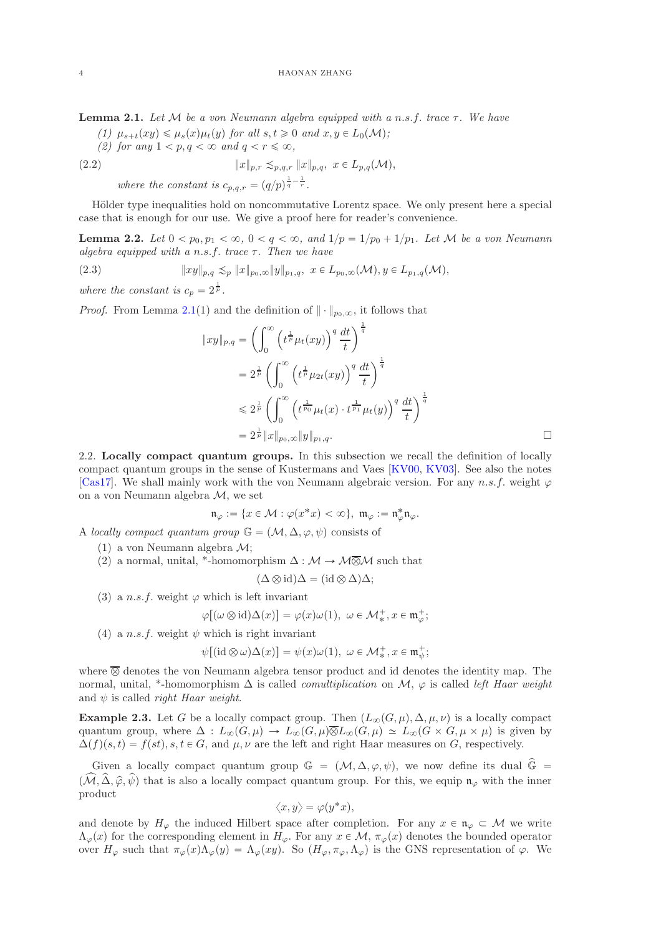<span id="page-3-0"></span>**Lemma 2.1.** Let M be a von Neumann algebra equipped with a n.s.f. trace  $\tau$ . We have

- (1)  $\mu_{s+t}(xy) \leq \mu_s(x)\mu_t(y)$  for all  $s, t \geq 0$  and  $x, y \in L_0(\mathcal{M});$
- (2) for any  $1 < p, q < \infty$  and  $q < r \leq \infty$ ,

(2.2) 
$$
||x||_{p,r} \lesssim_{p,q,r} ||x||_{p,q}, \ x \in L_{p,q}(\mathcal{M}),
$$

<span id="page-3-3"></span>where the constant is  $c_{p,q,r} = (q/p)^{\frac{1}{q} - \frac{1}{r}}$ .

Hölder type inequalities hold on noncommutative Lorentz space. We only present here a special case that is enough for our use. We give a proof here for reader's convenience.

**Lemma 2.2.** Let  $0 < p_0, p_1 < \infty$ ,  $0 < q < \infty$ , and  $1/p = 1/p_0 + 1/p_1$ . Let M be a von Neumann algebra equipped with a n.s.f. trace  $\tau$ . Then we have

(2.3) 
$$
||xy||_{p,q} \lesssim_p ||x||_{p_0,\infty} ||y||_{p_1,q}, \ x \in L_{p_0,\infty}(\mathcal{M}), y \in L_{p_1,q}(\mathcal{M}),
$$

where the constant is  $c_p = 2^{\frac{1}{p}}$ .

*Proof.* From Lemma [2.1\(](#page-3-0)1) and the definition of  $\|\cdot\|_{p_0,\infty}$ , it follows that

<span id="page-3-2"></span>
$$
||xy||_{p,q} = \left(\int_0^\infty \left(t^{\frac{1}{p}}\mu_t(xy)\right)^q \frac{dt}{t}\right)^{\frac{1}{q}}
$$
  

$$
= 2^{\frac{1}{p}} \left(\int_0^\infty \left(t^{\frac{1}{p}}\mu_{2t}(xy)\right)^q \frac{dt}{t}\right)^{\frac{1}{q}}
$$
  

$$
\leq 2^{\frac{1}{p}} \left(\int_0^\infty \left(t^{\frac{1}{p_0}}\mu_t(x) \cdot t^{\frac{1}{p_1}}\mu_t(y)\right)^q \frac{dt}{t}\right)^{\frac{1}{q}}
$$
  

$$
= 2^{\frac{1}{p}} ||x||_{p_0,\infty} ||y||_{p_1,q}. \qquad \Box
$$

2.2. Locally compact quantum groups. In this subsection we recall the definition of locally compact quantum groups in the sense of Kustermans and Vaes [\[KV00,](#page-11-8) [KV03\]](#page-12-3). See also the notes [\[Cas17\]](#page-11-9). We shall mainly work with the von Neumann algebraic version. For any n.s.f. weight  $\varphi$ on a von Neumann algebra M, we set

$$
\mathfrak{n}_\varphi:=\{x\in \mathcal{M}: \varphi(x^*x)<\infty\},\ \mathfrak{m}_\varphi:=\mathfrak{n}_\varphi^*\mathfrak{n}_\varphi.
$$

A locally compact quantum group  $\mathbb{G} = (\mathcal{M}, \Delta, \varphi, \psi)$  consists of

- (1) a von Neumann algebra M;
- (2) a normal, unital, \*-homomorphism  $\Delta : \mathcal{M} \to \mathcal{M} \overline{\otimes} \mathcal{M}$  such that

$$
(\Delta \otimes id)\Delta = (id \otimes \Delta)\Delta;
$$

(3) a n.s.f. weight  $\varphi$  which is left invariant

$$
\varphi[(\omega \otimes id)\Delta(x)] = \varphi(x)\omega(1), \ \omega \in \mathcal{M}_*^+, x \in \mathfrak{m}_{\varphi}^+;
$$

(4) a n.s.f. weight  $\psi$  which is right invariant

$$
\psi[(\mathrm{id}\otimes\omega)\Delta(x)]=\psi(x)\omega(1),\ \omega\in\mathcal{M}_*^+,x\in\mathfrak{m}_\psi^+;
$$

where  $\overline{\otimes}$  denotes the von Neumann algebra tensor product and id denotes the identity map. The normal, unital, \*-homomorphism  $\Delta$  is called *comultiplication* on  $\mathcal{M}$ ,  $\varphi$  is called *left Haar weight* and  $\psi$  is called *right Haar weight.* 

<span id="page-3-1"></span>**Example 2.3.** Let G be a locally compact group. Then  $(L_{\infty}(G, \mu), \Delta, \mu, \nu)$  is a locally compact quantum group, where  $\Delta: L_{\infty}(G, \mu) \to L_{\infty}(G, \mu)\overline{\otimes}L_{\infty}(G, \mu) \simeq L_{\infty}(G \times G, \mu \times \mu)$  is given by  $\Delta(f)(s,t) = f(st), s, t \in G$ , and  $\mu, \nu$  are the left and right Haar measures on G, respectively.

Given a locally compact quantum group  $\mathbb{G} = (\mathcal{M}, \Delta, \varphi, \psi)$ , we now define its dual  $\hat{\mathbb{G}} =$  $p(\widehat{M}, \widehat{\Delta}, \widehat{\varphi}, \widehat{\psi})$  that is also a locally compact quantum group. For this, we equip  $\mathfrak{n}_{\varphi}$  with the inner product

$$
\langle x, y \rangle = \varphi(y^*x),
$$

and denote by  $H_{\varphi}$  the induced Hilbert space after completion. For any  $x \in \mathfrak{n}_{\varphi} \subset \mathcal{M}$  we write  $\Lambda_{\varphi}(x)$  for the corresponding element in  $H_{\varphi}$ . For any  $x \in \mathcal{M}$ ,  $\pi_{\varphi}(x)$  denotes the bounded operator over  $H_{\varphi}$  such that  $\pi_{\varphi}(x)\Lambda_{\varphi}(y) = \Lambda_{\varphi}(xy)$ . So  $(H_{\varphi}, \pi_{\varphi}, \Lambda_{\varphi})$  is the GNS representation of  $\varphi$ . We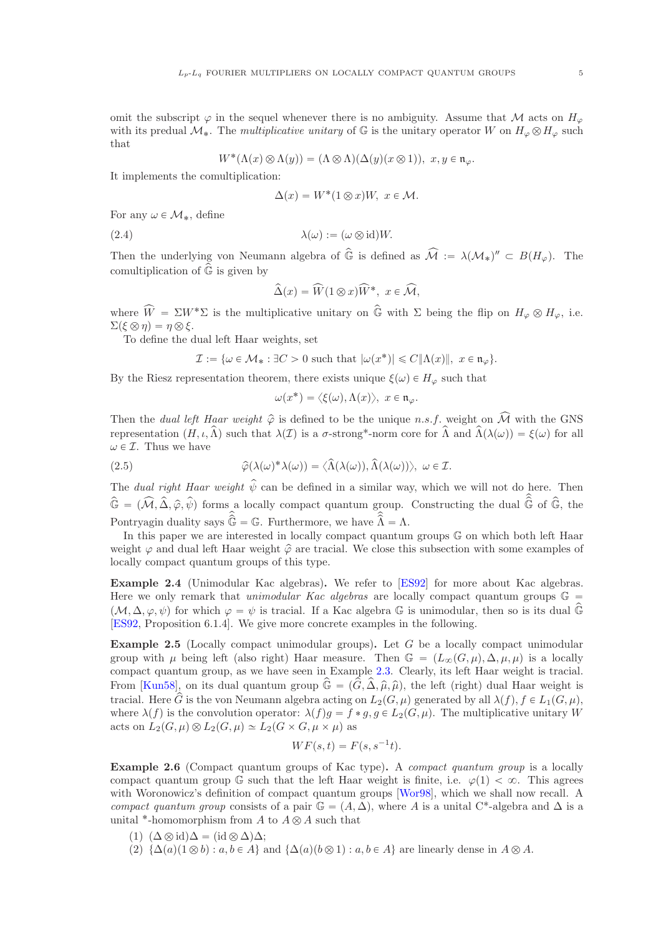omit the subscript  $\varphi$  in the sequel whenever there is no ambiguity. Assume that M acts on  $H_{\varphi}$ with its predual  $\mathcal{M}_{*}$ . The multiplicative unitary of G is the unitary operator W on  $H_{\varphi} \otimes H_{\varphi}$  such that

$$
W^*(\Lambda(x)\otimes\Lambda(y))=(\Lambda\otimes\Lambda)(\Delta(y)(x\otimes 1)), x,y\in\mathfrak{n}_\varphi.
$$

It implements the comultiplication:

<span id="page-4-0"></span>
$$
\Delta(x) = W^*(1 \otimes x)W, \ x \in \mathcal{M}.
$$

For any  $\omega \in \mathcal{M}_*$ , define

$$
\lambda(\omega) := (\omega \otimes \mathrm{id})W.
$$

Then the underlying von Neumann algebra of  $\hat{\mathbb{G}}$  is defined as  $\widehat{\mathcal{M}} := \lambda(\mathcal{M}_*)'' \subset B(H_{\varphi})$ . The comultiplication of  $\widehat{\mathbb{G}}$  is given by

$$
\widehat{\Delta}(x) = \widehat{W}(1 \otimes x)\widehat{W}^*, \ x \in \widehat{\mathcal{M}},
$$

where  $\widehat{W} = \Sigma W^* \Sigma$  is the multiplicative unitary on  $\widehat{\mathbb{G}}$  with  $\Sigma$  being the flip on  $H_{\varphi} \otimes H_{\varphi}$ , i.e.  $\Sigma(\xi \otimes \eta) = \eta \otimes \xi.$ 

To define the dual left Haar weights, set

$$
\mathcal{I} := \{ \omega \in \mathcal{M}_* : \exists C > 0 \text{ such that } |\omega(x^*)| \leq C ||\Lambda(x)||, \ x \in \mathfrak{n}_{\varphi} \}.
$$

By the Riesz representation theorem, there exists unique  $\xi(\omega) \in H_{\varphi}$  such that

<span id="page-4-1"></span>
$$
\omega(x^*) = \langle \xi(\omega), \Lambda(x) \rangle, \ x \in \mathfrak{n}_{\varphi}.
$$

Then the *dual left Haar weight*  $\hat{\varphi}$  is defined to be the unique *n.s.f.* weight on  $\hat{\mathcal{M}}$  with the GNS representation  $(H, \iota, \widehat{\Lambda})$  such that  $\lambda(\mathcal{I})$  is a  $\sigma$ -strong\*-norm core for  $\widehat{\Lambda}$  and  $\widehat{\Lambda}(\lambda(\omega)) = \xi(\omega)$  for all  $\omega \in \mathcal{I}$ . Thus we have

(2.5) 
$$
\widehat{\varphi}(\lambda(\omega)^* \lambda(\omega)) = \langle \widehat{\Lambda}(\lambda(\omega)), \widehat{\Lambda}(\lambda(\omega)) \rangle, \ \omega \in \mathcal{I}.
$$

The dual right Haar weight  $\hat{\psi}$  can be defined in a similar way, which we will not do here. Then  $\hat{\mathbb{G}} = (\widehat{\mathcal{M}}, \widehat{\Delta}, \widehat{\varphi}, \widehat{\psi})$  forms a locally compact quantum group. Constructing the dual  $\widehat{\mathbb{G}}$  of  $\widehat{\mathbb{G}}$ , the Pontryagin duality says  $\widehat{\mathbb{G}} = \mathbb{G}$ . Furthermore, we have  $\widehat{\Lambda} = \Lambda$ .

In this paper we are interested in locally compact quantum groups G on which both left Haar weight  $\varphi$  and dual left Haar weight  $\hat{\varphi}$  are tracial. We close this subsection with some examples of locally compact quantum groups of this type.

Example 2.4 (Unimodular Kac algebras). We refer to [\[ES92\]](#page-11-10) for more about Kac algebras. Here we only remark that unimodular Kac algebras are locally compact quantum groups  $\mathbb{G}$  =  $(\mathcal{M}, \Delta, \varphi, \psi)$  for which  $\varphi = \psi$  is tracial. If a Kac algebra G is unimodular, then so is its dual  $\widehat{\mathbb{G}}$ [\[ES92,](#page-11-10) Proposition 6.1.4]. We give more concrete examples in the following.

**Example 2.5** (Locally compact unimodular groups). Let  $G$  be a locally compact unimodular group with  $\mu$  being left (also right) Haar measure. Then  $\mathbb{G} = (L_{\infty}(G, \mu), \Delta, \mu, \mu)$  is a locally compact quantum group, as we have seen in Example [2.3.](#page-3-1) Clearly, its left Haar weight is tracial. From [\[Kun58\]](#page-11-11), on its dual quantum group  $\hat{\mathbb{G}} = (\hat{G}, \hat{\Delta}, \hat{\mu}, \hat{\mu})$ , the left (right) dual Haar weight is tracial. Here  $\hat{G}$  is the von Neumann algebra acting on  $L_2(G, \mu)$  generated by all  $\lambda(f), f \in L_1(G, \mu)$ , where  $\lambda(f)$  is the convolution operator:  $\lambda(f)q = f * q, q \in L_2(G, \mu)$ . The multiplicative unitary W acts on  $L_2(G, \mu) \otimes L_2(G, \mu) \simeq L_2(G \times G, \mu \times \mu)$  as

$$
WF(s,t) = F(s, s^{-1}t).
$$

Example 2.6 (Compact quantum groups of Kac type). A *compact quantum group* is a locally compact quantum group G such that the left Haar weight is finite, i.e.  $\varphi(1) < \infty$ . This agrees with Woronowicz's definition of compact quantum groups [\[Wor98\]](#page-12-4), which we shall now recall. A compact quantum group consists of a pair  $\mathbb{G} = (A, \Delta)$ , where A is a unital C\*-algebra and  $\Delta$  is a unital \*-homomorphism from A to  $A \otimes A$  such that

- (1)  $(\Delta \otimes id)\Delta = (id \otimes \Delta)\Delta;$
- (2)  $\{\Delta(a)(1 \otimes b) : a, b \in A\}$  and  $\{\Delta(a)(b \otimes 1) : a, b \in A\}$  are linearly dense in  $A \otimes A$ .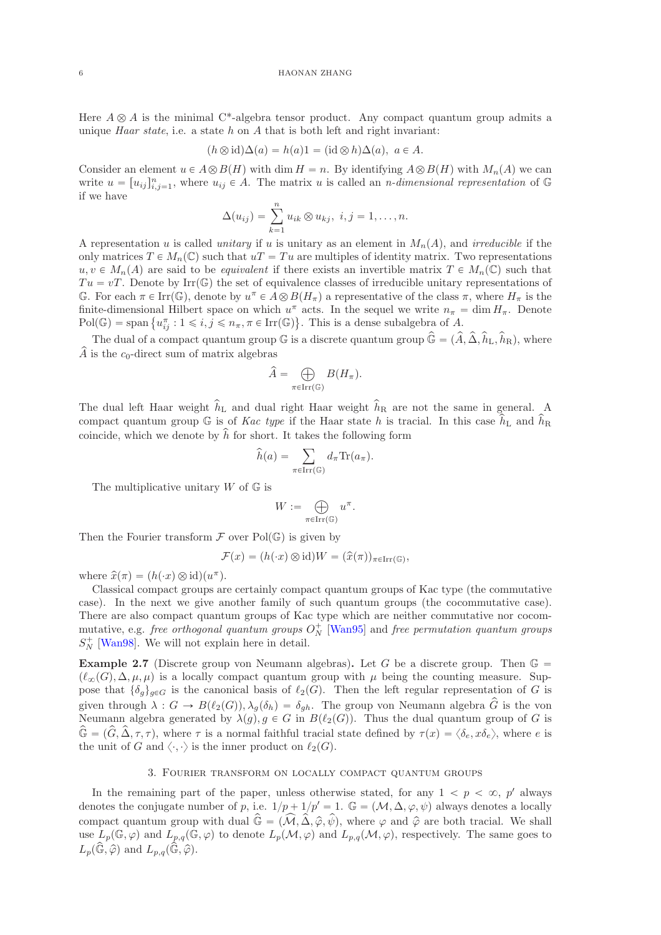Here  $A \otimes A$  is the minimal C<sup>\*</sup>-algebra tensor product. Any compact quantum group admits a unique *Haar state*, i.e. a state  $h$  on  $\tilde{A}$  that is both left and right invariant:

$$
(h \otimes id)\Delta(a) = h(a)1 = (id \otimes h)\Delta(a), \ a \in A.
$$

Consider an element  $u \in A \otimes B(H)$  with dim  $H = n$ . By identifying  $A \otimes B(H)$  with  $M_n(A)$  we can write  $u = [u_{ij}]_{i,j=1}^n$ , where  $u_{ij} \in A$ . The matrix u is called an *n*-dimensional representation of G if we have

$$
\Delta(u_{ij}) = \sum_{k=1}^n u_{ik} \otimes u_{kj}, \ i, j = 1, \dots, n.
$$

A representation u is called unitary if u is unitary as an element in  $M_n(A)$ , and irreducible if the only matrices  $T \in M_n(\mathbb{C})$  such that  $uT = Tu$  are multiples of identity matrix. Two representations  $u, v \in M_n(A)$  are said to be *equivalent* if there exists an invertible matrix  $T \in M_n(\mathbb{C})$  such that  $Tu = vT$ . Denote by Irr $(\mathbb{G})$  the set of equivalence classes of irreducible unitary representations of G. For each  $\pi \in \text{Irr}(\mathbb{G})$ , denote by  $u^{\pi} \in A \otimes B(H_{\pi})$  a representative of the class  $\pi$ , where  $H_{\pi}$  is the finite-dimensional Hilbert space on which  $u^{\pi}$  acts. In the sequel we write  $n_{\pi} = \dim H_{\pi}$ . Denote  $Pol(\mathbb{G}) = \text{span} \{ u_{ij}^\pi : 1 \leqslant i, j \leqslant n_\pi, \pi \in \text{Irr}(\mathbb{G}) \}.$  This is a dense subalgebra of A.

The dual of a compact quantum group  $\mathbb{G}$  is a discrete quantum group  $\hat{\mathbb{G}} = (\hat{A}, \hat{\Delta}, \hat{h}_L, \hat{h}_R)$ , where  $\widehat{A}$  is the c<sub>0</sub>-direct sum of matrix algebras

$$
\widehat{A} = \bigoplus_{\pi \in \operatorname{Irr}(\mathbb{G})} B(H_{\pi}).
$$

The dual left Haar weight  $\hat{h}_L$  and dual right Haar weight  $\hat{h}_R$  are not the same in general. A compact quantum group G is of Kac type if the Haar state h is tracial. In this case  $\hat{h}_{\text{L}}$  and  $\hat{h}_{\text{R}}$ coincide, which we denote by  $\hat{h}$  for short. It takes the following form

$$
\widehat{h}(a) = \sum_{\pi \in \operatorname{Irr}(\mathbb{G})} d_{\pi} \operatorname{Tr}(a_{\pi}).
$$

The multiplicative unitary  $W$  of  $\mathbb G$  is

$$
W:=\bigoplus_{\pi\in\operatorname{Irr}(\mathbb{G})}u^{\pi}.
$$

Then the Fourier transform  $\mathcal F$  over Pol(G) is given by

$$
\mathcal{F}(x) = (h(\cdot x) \otimes \mathrm{id})W = (\widehat{x}(\pi))_{\pi \in \mathrm{Irr}(\mathbb{G})},
$$

where  $\hat{x}(\pi) = (h(\cdot x) \otimes id)(u^{\pi}).$ 

Classical compact groups are certainly compact quantum groups of Kac type (the commutative case). In the next we give another family of such quantum groups (the cocommutative case). There are also compact quantum groups of Kac type which are neither commutative nor cocommutative, e.g. *free orthogonal quantum groups*  $O_N^+$  [\[Wan95\]](#page-12-5) and *free permutation quantum groups*  $S_N^+$  [\[Wan98\]](#page-12-6). We will not explain here in detail.

**Example 2.7** (Discrete group von Neumann algebras). Let G be a discrete group. Then  $\mathbb{G} =$  $(\ell_{\infty}(G), \Delta, \mu, \mu)$  is a locally compact quantum group with  $\mu$  being the counting measure. Suppose that  $\{\delta_q\}_{q\in G}$  is the canonical basis of  $\ell_2(G)$ . Then the left regular representation of G is given through  $\lambda: G \to B(\ell_2(G)), \lambda_g(\delta_h) = \delta_{gh}$ . The group von Neumann algebra  $\hat{G}$  is the von Neumann algebra generated by  $\lambda(g), g \in G$  in  $B(\ell_2(G))$ . Thus the dual quantum group of G is  $\hat{\mathbb{G}} = (\hat{G}, \hat{\Delta}, \tau, \tau)$ , where  $\tau$  is a normal faithful tracial state defined by  $\tau(x) = \langle \delta_e, x\delta_e \rangle$ , where e is the unit of G and  $\langle \cdot, \cdot \rangle$  is the inner product on  $\ell_2(G)$ .

## 3. Fourier transform on locally compact quantum groups

<span id="page-5-0"></span>In the remaining part of the paper, unless otherwise stated, for any  $1 < p < \infty$ , p' always denotes the conjugate number of p, i.e.  $1/p + 1/p' = 1$ .  $\mathbb{G} = (\mathcal{M}, \Delta, \varphi, \psi)$  always denotes a locally compact quantum group with dual  $\hat{\mathbb{G}} = (\widehat{\mathcal{M}}, \widehat{\Delta}, \widehat{\varphi}, \widehat{\psi})$ , where  $\varphi$  and  $\widehat{\varphi}$  are both tracial. We shall use  $L_p(\mathbb{G}, \varphi)$  and  $L_{p,q}(\mathbb{G}, \varphi)$  to denote  $L_p(\mathcal{M}, \varphi)$  and  $L_{p,q}(\mathcal{M}, \varphi)$ , respectively. The same goes to  $L_p(\widehat{\mathbb{G}}, \widehat{\varphi})$  and  $L_{p,q}(\widehat{\mathbb{G}}, \widehat{\varphi})$ .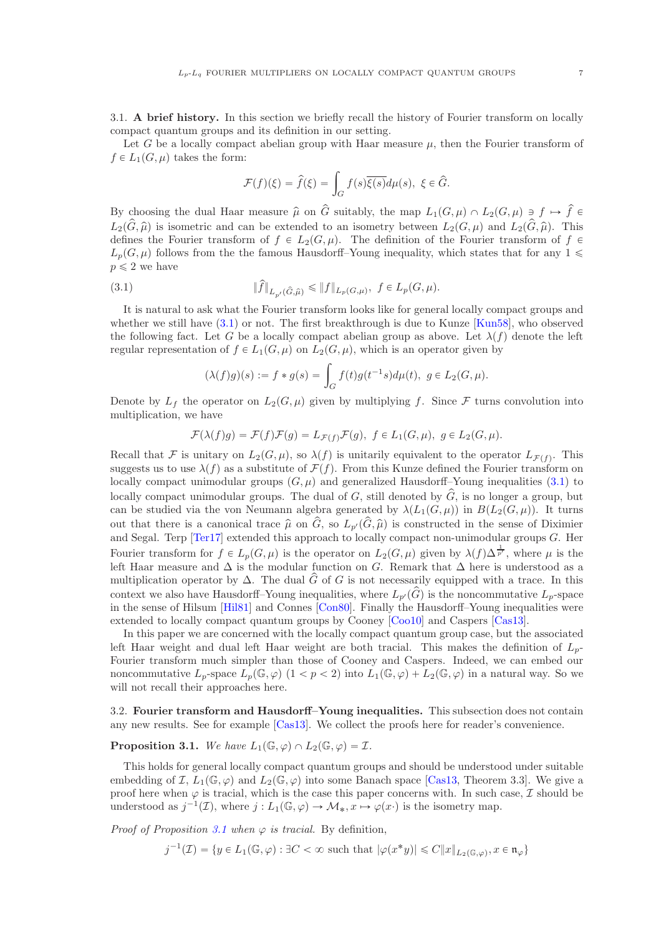3.1. A brief history. In this section we briefly recall the history of Fourier transform on locally compact quantum groups and its definition in our setting.

Let G be a locally compact abelian group with Haar measure  $\mu$ , then the Fourier transform of  $f \in L_1(G, \mu)$  takes the form:

$$
\mathcal{F}(f)(\xi) = \hat{f}(\xi) = \int_G f(s)\overline{\xi(s)}d\mu(s), \ \xi \in \widehat{G}.
$$

By choosing the dual Haar measure  $\hat{\mu}$  on  $\hat{G}$  suitably, the map  $L_1(G, \mu) \cap L_2(G, \mu) \ni f \mapsto \hat{f} \in$  $L_2(\hat{G}, \hat{\mu})$  is isometric and can be extended to an isometry between  $L_2(G, \mu)$  and  $L_2(\hat{G}, \hat{\mu})$ . This defines the Fourier transform of  $f \in L_2(G, \mu)$ . The definition of the Fourier transform of f  $\in$  $L_p(G, \mu)$  follows from the the famous Hausdorff–Young inequality, which states that for any 1  $\leq$  $p \leqslant 2$  we have

(3.1) 
$$
\|f\|_{L_{p'}(\hat{G}, \hat{\mu})} \leq \|f\|_{L_p(G, \mu)}, \ f \in L_p(G, \mu).
$$

It is natural to ask what the Fourier transform looks like for general locally compact groups and whether we still have  $(3.1)$  or not. The first breakthrough is due to Kunze [\[Kun58\]](#page-11-11), who observed the following fact. Let G be a locally compact abelian group as above. Let  $\lambda(f)$  denote the left regular representation of  $f \in L_1(G, \mu)$  on  $L_2(G, \mu)$ , which is an operator given by

<span id="page-6-0"></span>
$$
(\lambda(f)g)(s) := f * g(s) = \int_G f(t)g(t^{-1}s)d\mu(t), \ g \in L_2(G, \mu).
$$

Denote by  $L_f$  the operator on  $L_2(G, \mu)$  given by multiplying f. Since F turns convolution into multiplication, we have

$$
\mathcal{F}(\lambda(f)g) = \mathcal{F}(f)\mathcal{F}(g) = L_{\mathcal{F}(f)}\mathcal{F}(g), \ f \in L_1(G,\mu), \ g \in L_2(G,\mu).
$$

Recall that F is unitary on  $L_2(G, \mu)$ , so  $\lambda(f)$  is unitarily equivalent to the operator  $L_{\mathcal{F}(f)}$ . This suggests us to use  $\lambda(f)$  as a substitute of  $\mathcal{F}(f)$ . From this Kunze defined the Fourier transform on locally compact unimodular groups  $(G, \mu)$  and generalized Hausdorff–Young inequalities [\(3.1\)](#page-6-0) to locally compact unimodular groups. The dual of G, still denoted by  $\hat{G}$ , is no longer a group, but can be studied via the von Neumann algebra generated by  $\lambda(L_1(G, \mu))$  in  $B(L_2(G, \mu))$ . It turns out that there is a canonical trace  $\hat{\mu}$  on  $\hat{G}$ , so  $L_{p'}(\hat{G}, \hat{\mu})$  is constructed in the sense of Diximier and Segal. Terp [\[Ter17\]](#page-12-7) extended this approach to locally compact non-unimodular groups G. Her Fourier transform for  $f \in L_p(G, \mu)$  is the operator on  $L_2(G, \mu)$  given by  $\lambda(f) \Delta^{\frac{1}{p'}}$ , where  $\mu$  is the left Haar measure and  $\Delta$  is the modular function on G. Remark that  $\Delta$  here is understood as a multiplication operator by  $\Delta$ . The dual  $\hat{G}$  of G is not necessarily equipped with a trace. In this context we also have Hausdorff–Young inequalities, where  $L_{p'}(\hat{G})$  is the noncommutative  $L_p$ -space in the sense of Hilsum [\[Hil81\]](#page-11-12) and Connes [\[Con80\]](#page-11-13). Finally the Hausdorff–Young inequalities were extended to locally compact quantum groups by Cooney [\[Coo10\]](#page-11-14) and Caspers [\[Cas13\]](#page-11-15).

In this paper we are concerned with the locally compact quantum group case, but the associated left Haar weight and dual left Haar weight are both tracial. This makes the definition of  $L_p$ -Fourier transform much simpler than those of Cooney and Caspers. Indeed, we can embed our noncommutative  $L_p$ -space  $L_p(\mathbb{G}, \varphi)$   $(1 < p < 2)$  into  $L_1(\mathbb{G}, \varphi) + L_2(\mathbb{G}, \varphi)$  in a natural way. So we will not recall their approaches here.

3.2. Fourier transform and Hausdorff–Young inequalities. This subsection does not contain any new results. See for example [\[Cas13\]](#page-11-15). We collect the proofs here for reader's convenience.

<span id="page-6-1"></span>**Proposition 3.1.** We have  $L_1(\mathbb{G}, \varphi) \cap L_2(\mathbb{G}, \varphi) = \mathcal{I}$ .

This holds for general locally compact quantum groups and should be understood under suitable embedding of I,  $L_1(\mathbb{G}, \varphi)$  and  $L_2(\mathbb{G}, \varphi)$  into some Banach space [\[Cas13,](#page-11-15) Theorem 3.3]. We give a proof here when  $\varphi$  is tracial, which is the case this paper concerns with. In such case,  $\mathcal I$  should be understood as  $j^{-1}(\mathcal{I})$ , where  $j: L_1(\mathbb{G}, \varphi) \to \mathcal{M}_*, x \mapsto \varphi(x)$  is the isometry map.

*Proof of Proposition [3.1](#page-6-1) when*  $\varphi$  *is tracial.* By definition,

$$
j^{-1}(\mathcal{I}) = \{ y \in L_1(\mathbb{G}, \varphi) : \exists C < \infty \text{ such that } |\varphi(x^*y)| \leq C ||x||_{L_2(\mathbb{G}, \varphi)}, x \in \mathfrak{n}_{\varphi} \}
$$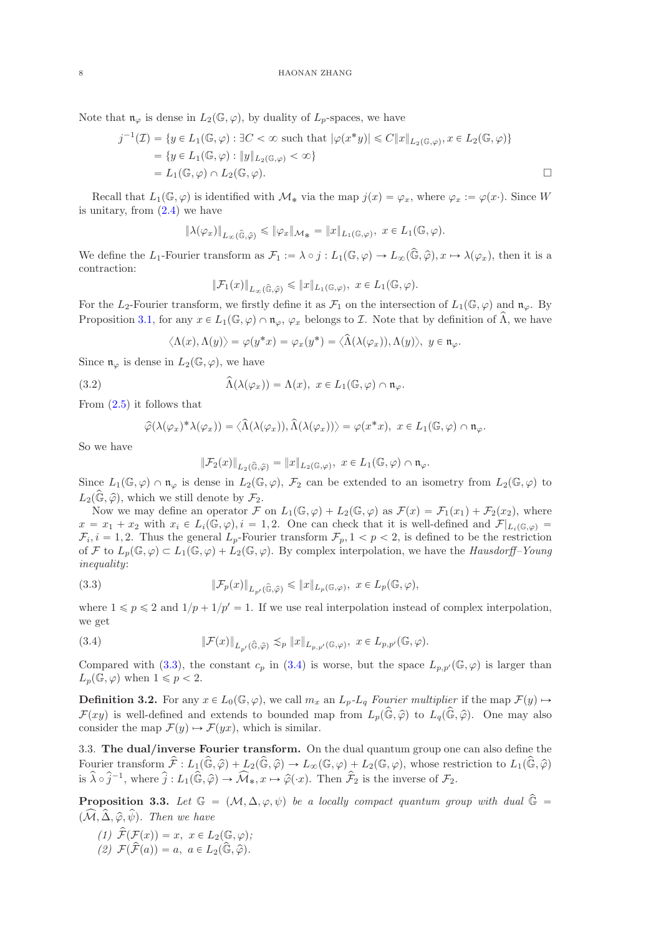Note that  $\mathfrak{n}_{\varphi}$  is dense in  $L_2(\mathbb{G}, \varphi)$ , by duality of  $L_p$ -spaces, we have

$$
j^{-1}(\mathcal{I}) = \{ y \in L_1(\mathbb{G}, \varphi) : \exists C < \infty \text{ such that } |\varphi(x^*y)| \le C \|x\|_{L_2(\mathbb{G}, \varphi)}, x \in L_2(\mathbb{G}, \varphi) \}
$$
  
=  $\{ y \in L_1(\mathbb{G}, \varphi) : \|y\|_{L_2(\mathbb{G}, \varphi)} < \infty \}$   
=  $L_1(\mathbb{G}, \varphi) \cap L_2(\mathbb{G}, \varphi).$ 

Recall that  $L_1(\mathbb{G}, \varphi)$  is identified with  $\mathcal{M}_*$  via the map  $j(x) = \varphi_x$ , where  $\varphi_x := \varphi(x)$ . Since W is unitary, from  $(2.4)$  we have

$$
\|\lambda(\varphi_x)\|_{L_\infty(\widehat{\mathbb{G}},\widehat{\varphi})}\leqslant \|\varphi_x\|_{\mathcal{M}_{*}}=\|x\|_{L_1(\mathbb{G},\varphi)},\,\,x\in L_1(\mathbb{G},\varphi).
$$

We define the  $L_1$ -Fourier transform as  $\mathcal{F}_1 := \lambda \circ j : L_1(\mathbb{G}, \varphi) \to L_\infty(\widehat{\mathbb{G}}, \widehat{\varphi}), x \mapsto \lambda(\varphi_x)$ , then it is a contraction:

$$
\|\mathcal{F}_1(x)\|_{L_\infty(\widehat{\mathbb{G}},\widehat{\varphi})} \leqslant \|x\|_{L_1(\mathbb{G},\varphi)}, \ x \in L_1(\mathbb{G},\varphi).
$$

For the L<sub>2</sub>-Fourier transform, we firstly define it as  $\mathcal{F}_1$  on the intersection of  $L_1(\mathbb{G}, \varphi)$  and  $\mathfrak{n}_{\varphi}$ . By Proposition [3.1,](#page-6-1) for any  $x \in L_1(\mathbb{G}, \varphi) \cap \mathfrak{n}_{\varphi}$ ,  $\varphi_x$  belongs to *I*. Note that by definition of  $\Lambda$ , we have

$$
\langle \Lambda(x), \Lambda(y) \rangle = \varphi(y^*x) = \varphi_x(y^*) = \langle \widehat{\Lambda}(\lambda(\varphi_x)), \Lambda(y) \rangle, \ y \in \mathfrak{n}_{\varphi}.
$$

Since  $\mathfrak{n}_{\varphi}$  is dense in  $L_2(\mathbb{G}, \varphi)$ , we have

(3.2) 
$$
\widehat{\Lambda}(\lambda(\varphi_x)) = \Lambda(x), \ x \in L_1(\mathbb{G}, \varphi) \cap \mathfrak{n}_{\varphi}.
$$

From [\(2.5\)](#page-4-1) it follows that

$$
\widehat{\varphi}(\lambda(\varphi_x)^*\lambda(\varphi_x)) = \langle \widehat{\Lambda}(\lambda(\varphi_x)), \widehat{\Lambda}(\lambda(\varphi_x)) \rangle = \varphi(x^*x), \ x \in L_1(\mathbb{G}, \varphi) \cap \mathfrak{n}_{\varphi}.
$$

So we have

<span id="page-7-0"></span>
$$
\|\mathcal{F}_2(x)\|_{L_2(\widehat{\mathbb{G}},\widehat{\varphi})}=\|x\|_{L_2(\mathbb{G},\varphi)},\,\,x\in L_1(\mathbb{G},\varphi)\cap\mathfrak{n}_\varphi.
$$

Since  $L_1(\mathbb{G}, \varphi) \cap \mathfrak{n}_{\varphi}$  is dense in  $L_2(\mathbb{G}, \varphi)$ ,  $\mathcal{F}_2$  can be extended to an isometry from  $L_2(\mathbb{G}, \varphi)$  to  $L_2(\widehat{\mathbb{G}}, \widehat{\varphi})$ , which we still denote by  $\mathcal{F}_2$ .

Now we may define an operator  $\mathcal F$  on  $L_1(\mathbb{G}, \varphi) + L_2(\mathbb{G}, \varphi)$  as  $\mathcal F(x) = \mathcal F_1(x_1) + \mathcal F_2(x_2)$ , where  $x = x_1 + x_2$  with  $x_i \in L_i(\mathbb{G}, \varphi), i = 1, 2$ . One can check that it is well-defined and  $\mathcal{F}|_{L_i(\mathbb{G}, \varphi)} =$  $\mathcal{F}_i, i = 1, 2$ . Thus the general  $L_p$ -Fourier transform  $\mathcal{F}_p, 1 < p < 2$ , is defined to be the restriction of F to  $L_p(\mathbb{G}, \varphi) \subset L_1(\mathbb{G}, \varphi) + L_2(\mathbb{G}, \varphi)$ . By complex interpolation, we have the Hausdorff–Young inequality:

(3.3) 
$$
\|\mathcal{F}_p(x)\|_{L_{p'}(\widehat{\mathbb{G}},\widehat{\varphi})}\leqslant \|x\|_{L_p(\mathbb{G},\varphi)},\ x\in L_p(\mathbb{G},\varphi),
$$

where  $1 \leq p \leq 2$  and  $1/p + 1/p' = 1$ . If we use real interpolation instead of complex interpolation, we get

<span id="page-7-1"></span>(3.4) 
$$
\|\mathcal{F}(x)\|_{L_{p'}(\widehat{\mathbb{G}},\widehat{\varphi})} \lesssim_p \|x\|_{L_{p,p'}(\mathbb{G},\varphi)}, \ x \in L_{p,p'}(\mathbb{G},\varphi).
$$

Compared with [\(3.3\)](#page-7-0), the constant  $c_p$  in [\(3.4\)](#page-7-1) is worse, but the space  $L_{p,p'}(\mathbb{G}, \varphi)$  is larger than  $L_p(\mathbb{G}, \varphi)$  when  $1 \leqslant p < 2$ .

**Definition 3.2.** For any  $x \in L_0(\mathbb{G}, \varphi)$ , we call  $m_x$  an  $L_p-L_q$  Fourier multiplier if the map  $\mathcal{F}(y) \mapsto$  $\mathcal{F}(xy)$  is well-defined and extends to bounded map from  $L_p(\hat{\mathbb{G}}, \hat{\varphi})$  to  $L_q(\hat{\mathbb{G}}, \hat{\varphi})$ . One may also consider the map  $\mathcal{F}(y) \mapsto \mathcal{F}(yx)$ , which is similar.

3.3. The dual/inverse Fourier transform. On the dual quantum group one can also define the Fourier transform  $\hat{\mathcal{F}} : L_1(\hat{\mathbb{G}}, \hat{\varphi}) + L_2(\hat{\mathbb{G}}, \hat{\varphi}) \to L_{\infty}(\mathbb{G}, \varphi) + L_2(\mathbb{G}, \varphi)$ , whose restriction to  $L_1(\hat{\mathbb{G}}, \hat{\varphi})$ is  $\hat{\lambda} \circ \hat{j}^{-1}$ , where  $\hat{j} : L_1(\hat{\mathbb{G}}, \hat{\varphi}) \to \widehat{\mathcal{M}}_*, x \mapsto \hat{\varphi}(\cdot x)$ . Then  $\hat{\mathcal{F}}_2$  is the inverse of  $\mathcal{F}_2$ .

<span id="page-7-2"></span>**Proposition 3.3.** Let  $\mathbb{G} = (\mathcal{M}, \Delta, \varphi, \psi)$  be a locally compact quantum group with dual  $\hat{\mathbb{G}} =$  $(\widehat{\mathcal{M}}, \widehat{\Delta}, \widehat{\varphi}, \widehat{\psi})$ . Then we have

- (1)  $\widehat{\mathcal{F}}(\mathcal{F}(x)) = x, x \in L_2(\mathbb{G}, \varphi);$
- (2)  $\mathcal{F}(\widehat{\mathcal{F}}(a)) = a, a \in L_2(\widehat{\mathbb{G}}, \widehat{\varphi}).$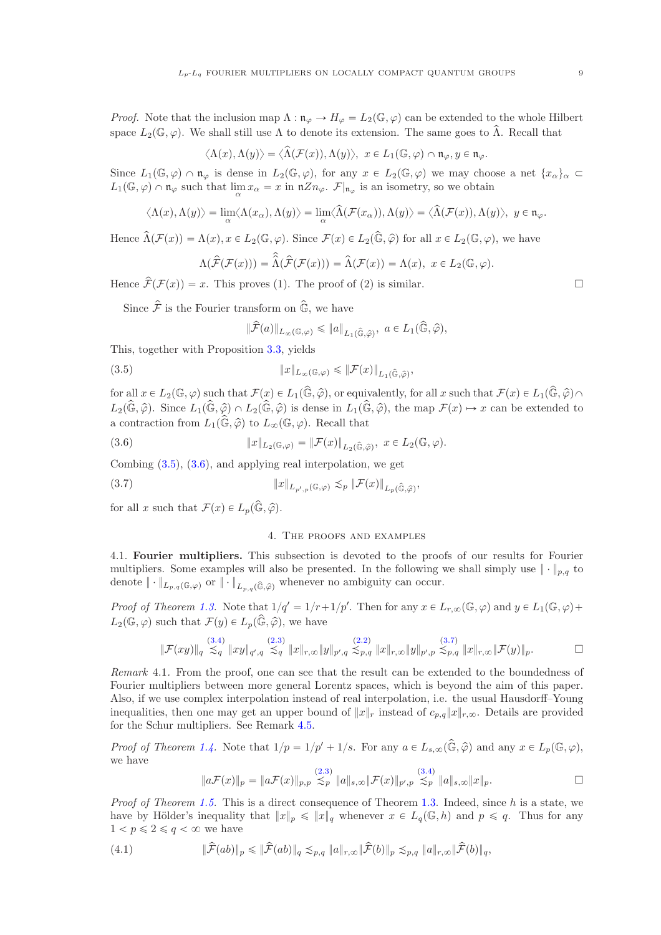*Proof.* Note that the inclusion map  $\Lambda : \mathfrak{n}_{\varphi} \to H_{\varphi} = L_2(\mathbb{G}, \varphi)$  can be extended to the whole Hilbert space  $L_2(\mathbb{G}, \varphi)$ . We shall still use  $\Lambda$  to denote its extension. The same goes to  $\widehat{\Lambda}$ . Recall that

$$
\langle \Lambda(x), \Lambda(y) \rangle = \langle \widehat{\Lambda}(\mathcal{F}(x)), \Lambda(y) \rangle, \ x \in L_1(\mathbb{G}, \varphi) \cap \mathfrak{n}_{\varphi}, y \in \mathfrak{n}_{\varphi}.
$$

Since  $L_1(\mathbb{G}, \varphi) \cap \mathfrak{n}_{\varphi}$  is dense in  $L_2(\mathbb{G}, \varphi)$ , for any  $x \in L_2(\mathbb{G}, \varphi)$  we may choose a net  $\{x_\alpha\}_\alpha \subset$  $L_1(\mathbb{G}, \varphi) \cap \mathfrak{n}_{\varphi}$  such that  $\lim_{\alpha} x_{\alpha} = x$  in  $\mathfrak{n}Zn_{\varphi}$ .  $\mathcal{F}|_{\mathfrak{n}_{\varphi}}$  is an isometry, so we obtain

$$
\langle \Lambda(x), \Lambda(y) \rangle = \lim_{\alpha} \langle \Lambda(x_{\alpha}), \Lambda(y) \rangle = \lim_{\alpha} \langle \widehat{\Lambda}(\mathcal{F}(x_{\alpha})), \Lambda(y) \rangle = \langle \widehat{\Lambda}(\mathcal{F}(x)), \Lambda(y) \rangle, \ y \in \mathfrak{n}_{\varphi}.
$$

Hence  $\widehat{\Lambda}(\mathcal{F}(x)) = \Lambda(x), x \in L_2(\mathbb{G}, \varphi)$ . Since  $\mathcal{F}(x) \in L_2(\widehat{\mathbb{G}}, \widehat{\varphi})$  for all  $x \in L_2(\mathbb{G}, \varphi)$ , we have

$$
\Lambda(\widehat{\mathcal{F}}(\mathcal{F}(x))) = \widehat{\Lambda}(\widehat{\mathcal{F}}(\mathcal{F}(x))) = \widehat{\Lambda}(\mathcal{F}(x)) = \Lambda(x), \ x \in L_2(\mathbb{G}, \varphi).
$$

Hence  $\hat{\mathcal{F}}(\mathcal{F}(x)) = x$ . This proves (1). The proof of (2) is similar.

Since  $\hat{\mathcal{F}}$  is the Fourier transform on  $\hat{\mathbb{G}}$ , we have

<span id="page-8-1"></span>
$$
\|\widehat{\mathcal{F}}(a)\|_{L_{\infty}(\mathbb{G},\varphi)} \leqslant \|a\|_{L_1(\widehat{\mathbb{G}},\widehat{\varphi})}, \ a \in L_1(\widehat{\mathbb{G}},\widehat{\varphi}),
$$

This, together with Proposition [3.3,](#page-7-2) yields

(3.5) 
$$
\|x\|_{L_{\infty}(\mathbb{G},\varphi)} \leqslant \|\mathcal{F}(x)\|_{L_{1}(\widehat{\mathbb{G}},\widehat{\varphi})}
$$

for all  $x \in L_2(\mathbb{G}, \varphi)$  such that  $\mathcal{F}(x) \in L_1(\widehat{\mathbb{G}}, \widehat{\varphi})$ , or equivalently, for all x such that  $\mathcal{F}(x) \in L_1(\widehat{\mathbb{G}}, \widehat{\varphi}) \cap$  $L_2(\widehat{\mathbb{G}}, \widehat{\varphi})$ . Since  $L_1(\widehat{\mathbb{G}}, \widehat{\varphi}) \cap L_2(\widehat{\mathbb{G}}, \widehat{\varphi})$  is dense in  $L_1(\widehat{\mathbb{G}}, \widehat{\varphi})$ , the map  $\mathcal{F}(x) \mapsto x$  can be extended to a contraction from  $L_1(\widehat{\mathbb{G}}, \widehat{\varphi})$  to  $L_{\infty}(\mathbb{G}, \varphi)$ . Recall that

,

(3.6) 
$$
||x||_{L_2(\mathbb{G},\varphi)} = ||\mathcal{F}(x)||_{L_2(\widehat{\mathbb{G}},\widehat{\varphi})}, \ x \in L_2(\mathbb{G},\varphi).
$$

Combing [\(3.5\)](#page-8-1), [\(3.6\)](#page-8-2), and applying real interpolation, we get

(3.7) 
$$
||x||_{L_{p',p}(\mathbb{G},\varphi)} \lesssim_p ||\mathcal{F}(x)||_{L_p(\widehat{\mathbb{G}},\widehat{\varphi})},
$$

<span id="page-8-0"></span>for all x such that  $\mathcal{F}(x) \in L_p(\widehat{\mathbb{G}}, \widehat{\varphi})$ .

#### <span id="page-8-3"></span><span id="page-8-2"></span>4. The proofs and examples

4.1. Fourier multipliers. This subsection is devoted to the proofs of our results for Fourier multipliers. Some examples will also be presented. In the following we shall simply use  $\|\cdot\|_{p,q}$  to denote  $\|\cdot\|_{L_{p,q}(\mathbb{G},\varphi)}$  or  $\|\cdot\|_{L_{p,q}(\widehat{\mathbb{G}},\widehat{\varphi})}$  whenever no ambiguity can occur.

Proof of Theorem [1.3.](#page-1-1) Note that  $1/q' = 1/r + 1/p'$ . Then for any  $x \in L_{r,\infty}(\mathbb{G}, \varphi)$  and  $y \in L_1(\mathbb{G}, \varphi)$  +  $L_2(\mathbb{G}, \varphi)$  such that  $\mathcal{F}(y) \in L_p(\widehat{\mathbb{G}}, \widehat{\varphi})$ , we have

$$
\|\mathcal{F}(xy)\|_{q} \stackrel{(3.4)}{\lesssim_{q}} \|xy\|_{q',q} \stackrel{(2.3)}{\lesssim_{q}} \|x\|_{r,\infty} \|y\|_{p',q} \stackrel{(2.2)}{\lesssim_{p,q}} \|x\|_{r,\infty} \|y\|_{p',p} \stackrel{(3.7)}{\lesssim_{p,q}} \|x\|_{r,\infty} \|\mathcal{F}(y)\|_{p}.\n\qquad \qquad \Box
$$

<span id="page-8-5"></span>Remark 4.1. From the proof, one can see that the result can be extended to the boundedness of Fourier multipliers between more general Lorentz spaces, which is beyond the aim of this paper. Also, if we use complex interpolation instead of real interpolation, i.e. the usual Hausdorff–Young inequalities, then one may get an upper bound of  $||x||_r$  instead of  $c_{p,q}||x||_{r,\infty}$ . Details are provided for the Schur multipliers. See Remark [4.5.](#page-11-16)

Proof of Theorem [1.4.](#page-1-2) Note that  $1/p = 1/p' + 1/s$ . For any  $a \in L_{s,\infty}(\widehat{\mathbb{G}}, \widehat{\varphi})$  and any  $x \in L_p(\mathbb{G}, \varphi)$ , we have

<span id="page-8-4"></span>
$$
\|a\mathcal{F}(x)\|_{p} = \|a\mathcal{F}(x)\|_{p,p} \lesssim_{p} \|a\|_{s,\infty} \|\mathcal{F}(x)\|_{p',p} \lesssim_{p}^{(3.4)} \|a\|_{s,\infty} \|x\|_{p}.
$$

Proof of Theorem [1.5.](#page-1-3) This is a direct consequence of Theorem [1.3.](#page-1-1) Indeed, since h is a state, we have by Hölder's inequality that  $||x||_p \le ||x||_q$  whenever  $x \in L_q(\mathbb{G}, h)$  and  $p \le q$ . Thus for any  $1 < p \leqslant 2 \leqslant q < \infty$  we have

$$
(4.1) \quad \|\widehat{\mathcal{F}}(ab)\|_{p} \le \|\widehat{\mathcal{F}}(ab)\|_{q} \lesssim_{p,q} \|a\|_{r,\infty} \|\widehat{\mathcal{F}}(b)\|_{p} \lesssim_{p,q} \|a\|_{r,\infty} \|\widehat{\mathcal{F}}(b)\|_{q},
$$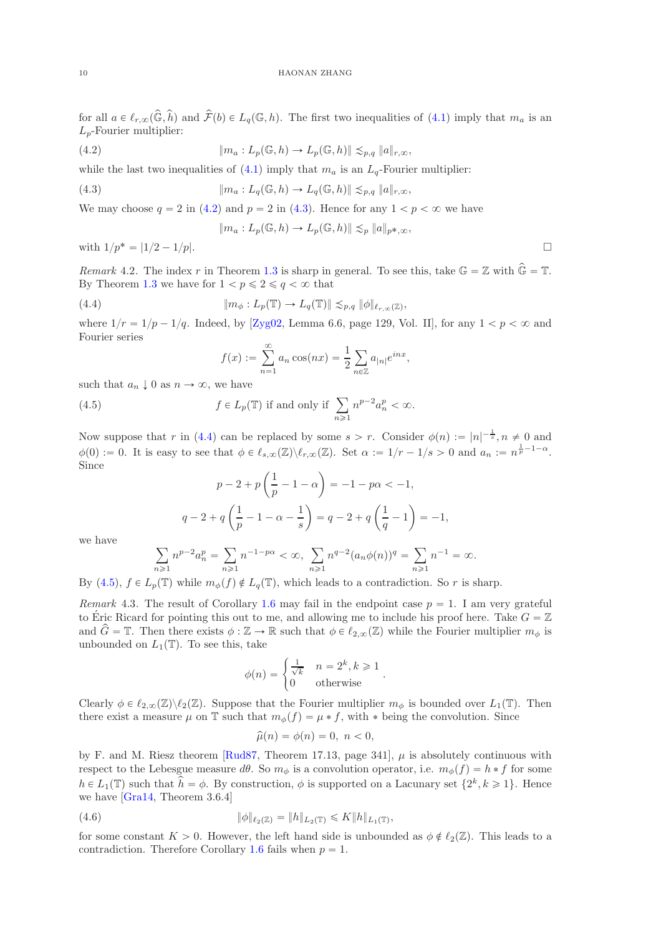for all  $a \in \ell_{r,\infty}(\widehat{\mathbb{G}}, \widehat{h})$  and  $\widehat{\mathcal{F}}(b) \in L_q(\mathbb{G}, h)$ . The first two inequalities of [\(4.1\)](#page-8-4) imply that  $m_a$  is an  $L_p$ -Fourier multiplier:

(4.2) 
$$
\|m_a: L_p(\mathbb{G}, h) \to L_p(\mathbb{G}, h)\| \lesssim_{p,q} \|a\|_{r,\infty},
$$

while the last two inequalities of  $(4.1)$  imply that  $m_a$  is an  $L_q$ -Fourier multiplier:

(4.3) 
$$
\|m_a: L_q(\mathbb{G}, h) \to L_q(\mathbb{G}, h)\| \lesssim_{p,q} \|a\|_{r,\infty},
$$

We may choose  $q = 2$  in [\(4.2\)](#page-9-0) and  $p = 2$  in [\(4.3\)](#page-9-1). Hence for any  $1 < p < \infty$  we have

<span id="page-9-1"></span><span id="page-9-0"></span>
$$
||m_a: L_p(\mathbb{G}, h) \to L_p(\mathbb{G}, h)|| \lesssim_p ||a||_{p^*,\infty},
$$

with  $1/p^* = |1/2 - 1/p|$ .

Remark 4.2. The index r in Theorem [1.3](#page-1-1) is sharp in general. To see this, take  $\mathbb{G} = \mathbb{Z}$  with  $\widehat{\mathbb{G}} = \mathbb{T}$ . By Theorem [1.3](#page-1-1) we have for  $1 < p \le 2 \le q < \infty$  that

(4.4) 
$$
\|m_{\phi}: L_p(\mathbb{T}) \to L_q(\mathbb{T}) \| \lesssim_{p,q} \|\phi\|_{\ell_{r,\infty}(\mathbb{Z})},
$$

where  $1/r = 1/p - 1/q$ . Indeed, by [\[Zyg02,](#page-12-8) Lemma 6.6, page 129, Vol. II], for any  $1 < p < \infty$  and Fourier series

<span id="page-9-3"></span><span id="page-9-2"></span>
$$
f(x) := \sum_{n=1}^{\infty} a_n \cos(nx) = \frac{1}{2} \sum_{n \in \mathbb{Z}} a_{|n|} e^{inx},
$$

such that  $a_n \downarrow 0$  as  $n \to \infty$ , we have

(4.5) 
$$
f \in L_p(\mathbb{T}) \text{ if and only if } \sum_{n \geq 1} n^{p-2} a_n^p < \infty.
$$

Now suppose that r in [\(4.4\)](#page-9-2) can be replaced by some  $s > r$ . Consider  $\phi(n) := |n|^{-\frac{1}{s}}, n \neq 0$  and  $\phi(0) := 0$ . It is easy to see that  $\phi \in \ell_{s,\infty}(\mathbb{Z})\backslash \ell_{r,\infty}(\mathbb{Z})$ . Set  $\alpha := 1/r - 1/s > 0$  and  $a_n := n^{\frac{1}{p}-1-\alpha}$ . Since

$$
p - 2 + p\left(\frac{1}{p} - 1 - \alpha\right) = -1 - p\alpha < -1,
$$
  

$$
q - 2 + q\left(\frac{1}{p} - 1 - \alpha - \frac{1}{s}\right) = q - 2 + q\left(\frac{1}{q} - 1\right) = -1,
$$

we have

$$
\sum_{n\geq 1} n^{p-2} a_n^p = \sum_{n\geq 1} n^{-1-p\alpha} < \infty, \ \sum_{n\geq 1} n^{q-2} (a_n \phi(n))^q = \sum_{n\geq 1} n^{-1} = \infty.
$$

By [\(4.5\)](#page-9-3),  $f \in L_p(\mathbb{T})$  while  $m_\phi(f) \notin L_q(\mathbb{T})$ , which leads to a contradiction. So r is sharp.

<span id="page-9-4"></span>Remark 4.3. The result of Corollary [1.6](#page-1-4) may fail in the endpoint case  $p = 1$ . I am very grateful to Éric Ricard for pointing this out to me, and allowing me to include his proof here. Take  $G = \mathbb{Z}$ and  $\hat{G} = \mathbb{T}$ . Then there exists  $\phi : \mathbb{Z} \to \mathbb{R}$  such that  $\phi \in \ell_{2,\infty}(\mathbb{Z})$  while the Fourier multiplier  $m_{\phi}$  is unbounded on  $L_1(\mathbb{T})$ . To see this, take

$$
\phi(n) = \begin{cases} \frac{1}{\sqrt{k}} & n = 2^k, k \ge 1 \\ 0 & \text{otherwise} \end{cases}.
$$

Clearly  $\phi \in \ell_{2,\infty}(\mathbb{Z})\setminus \ell_2(\mathbb{Z})$ . Suppose that the Fourier multiplier  $m_{\phi}$  is bounded over  $L_1(\mathbb{T})$ . Then there exist a measure  $\mu$  on T such that  $m_{\phi}(f) = \mu * f$ , with  $*$  being the convolution. Since

$$
\widehat{\mu}(n) = \phi(n) = 0, \ n < 0,
$$

by F. and M. Riesz theorem [\[Rud87,](#page-12-9) Theorem 17.13, page 341],  $\mu$  is absolutely continuous with respect to the Lebesgue measure  $d\theta$ . So  $m_{\phi}$  is a convolution operator, i.e.  $m_{\phi}(f) = h * f$  for some  $h \in L_1(\mathbb{T})$  such that  $\hat{h} = \phi$ . By construction,  $\phi$  is supported on a Lacunary set  $\{2^k, k \geq 1\}$ . Hence we have [\[Gra14,](#page-11-7) Theorem 3.6.4]

(4.6) 
$$
\|\phi\|_{\ell_2(\mathbb{Z})} = \|h\|_{L_2(\mathbb{T})} \leq K \|h\|_{L_1(\mathbb{T})},
$$

for some constant  $K > 0$ . However, the left hand side is unbounded as  $\phi \notin \ell_2(\mathbb{Z})$ . This leads to a contradiction. Therefore Corollary [1.6](#page-1-4) fails when  $p = 1$ .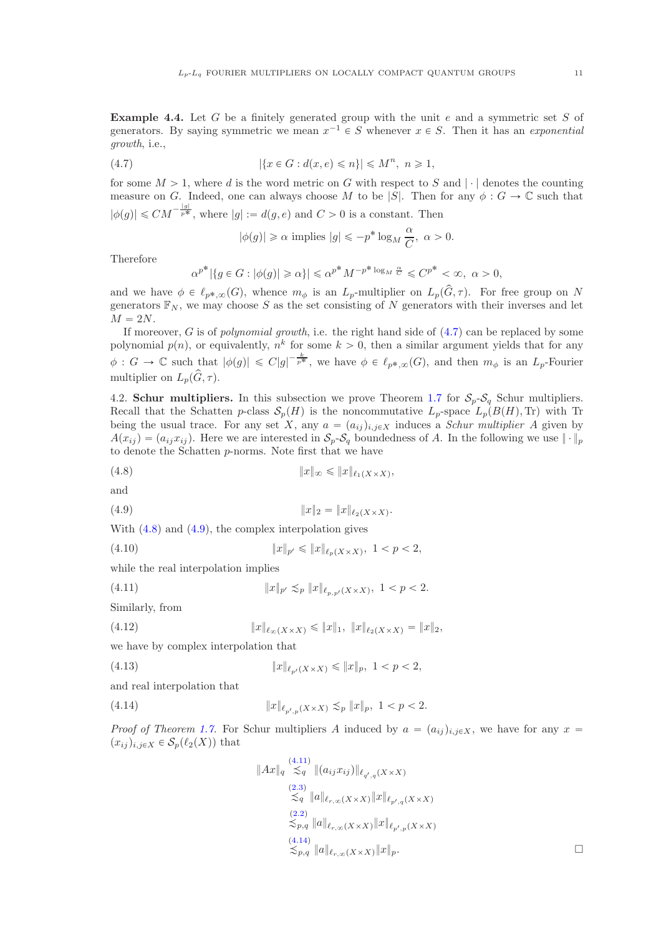**Example 4.4.** Let  $G$  be a finitely generated group with the unit  $e$  and a symmetric set  $S$  of generators. By saying symmetric we mean  $x^{-1} \in S$  whenever  $x \in S$ . Then it has an exponential growth, i.e.,

(4.7) 
$$
|\{x \in G : d(x, e) \leq n\}| \leq M^n, \ n \geq 1,
$$

for some  $M > 1$ , where d is the word metric on G with respect to S and  $|\cdot|$  denotes the counting measure on G. Indeed, one can always choose M to be |S|. Then for any  $\phi : G \to \mathbb{C}$  such that  $|\phi(g)| \leq C M^{-\frac{|g|}{p^*}}$ , where  $|g| := d(g, e)$  and  $C > 0$  is a constant. Then

<span id="page-10-0"></span>
$$
|\phi(g)| \geq \alpha \text{ implies } |g| \leqslant -p^* \log_M \frac{\alpha}{C}, \ \alpha > 0.
$$

Therefore

$$
\alpha^{p^*} |\{ g \in G : |\phi(g)| \ge \alpha \}| \le \alpha^{p^*} M^{-p^* \log_M \frac{\alpha}{C}} \le C^{p^*} < \infty, \ \alpha > 0,
$$

and we have  $\phi \in \ell_{p^*,\infty}(G)$ , whence  $m_\phi$  is an  $L_p$ -multiplier on  $L_p(\hat{G}, \tau)$ . For free group on N generators  $\mathbb{F}_N$ , we may choose S as the set consisting of N generators with their inverses and let  $M = 2N$ .

If moreover, G is of polynomial growth, i.e. the right hand side of  $(4.7)$  can be replaced by some polynomial  $p(n)$ , or equivalently,  $n^k$  for some  $k > 0$ , then a similar argument yields that for any  $\phi: G \to \mathbb{C}$  such that  $|\phi(g)| \leq C|g|^{-\frac{k}{p^*}}$ , we have  $\phi \in \ell_{p^*,\infty}(G)$ , and then  $m_{\phi}$  is an  $L_p$ -Fourier multiplier on  $L_p(\hat{G}, \tau)$ .

4.2. Schur multipliers. In this subsection we prove Theorem [1.7](#page-1-5) for  $S_p-S_q$  Schur multipliers. Recall that the Schatten p-class  $S_p(H)$  is the noncommutative  $L_p$ -space  $L_p(B(H),$  Tr) with Tr being the usual trace. For any set X, any  $a = (a_{ij})_{i,j\in X}$  induces a Schur multiplier A given by  $A(x_{ij}) = (a_{ij}x_{ij})$ . Here we are interested in  $S_p-S_q$  boundedness of A. In the following we use  $\|\cdot\|_p$ to denote the Schatten p-norms. Note first that we have

<span id="page-10-1"></span>
$$
(4.8) \t\t\t\t\t||x||_{\infty} \leq ||x||_{\ell_1(X \times X)},
$$

and

<span id="page-10-2"></span>(4.9) 
$$
||x||_2 = ||x||_{\ell_2(X \times X)}.
$$

With [\(4.8\)](#page-10-1) and [\(4.9\)](#page-10-2), the complex interpolation gives

<span id="page-10-5"></span>(4.10)  $||x||_{p'} \le ||x||_{\ell_p(X \times X)}, \ 1 < p < 2,$ 

while the real interpolation implies

<span id="page-10-3"></span>(4.11) 
$$
||x||_{p'} \lesssim_p ||x||_{\ell_{p,p'}(X\times X)}, \ 1 < p < 2.
$$

Similarly, from

(4.12) 
$$
||x||_{\ell_{\infty}(X \times X)} \leq ||x||_1, \ ||x||_{\ell_2(X \times X)} = ||x||_2,
$$

we have by complex interpolation that

(4.13) 
$$
||x||_{\ell_{p'}(X\times X)} \le ||x||_p, \ 1 < p < 2,
$$

and real interpolation that

(4.14) 
$$
||x||_{\ell_{p',p}(X\times X)} \lesssim_p ||x||_p, \ 1 < p < 2.
$$

 $\parallel$ 

*Proof of Theorem [1.7.](#page-1-5)* For Schur multipliers A induced by  $a = (a_{ij})_{i,j\in X}$ , we have for any  $x =$  $(x_{ij})_{i,j\in X} \in \mathcal{S}_p(\ell_2(X))$  that

<span id="page-10-6"></span><span id="page-10-4"></span>
$$
Ax\|_{q} \stackrel{(4.11)}{\lesssim_{q}} \|(a_{ij}x_{ij})\|_{\ell_{q',q}(X\times X)}
$$
  
\n
$$
\stackrel{(2.3)}{\lesssim_{q}} \|a\|_{\ell_{r,\infty}(X\times X)} \|x\|_{\ell_{p',q}(X\times X)}
$$
  
\n
$$
\stackrel{(2.2)}{\lesssim_{p,q}} \|a\|_{\ell_{r,\infty}(X\times X)} \|x\|_{\ell_{p',p}(X\times X)}
$$
  
\n
$$
\stackrel{(4.14)}{\lesssim_{p,q}} \|a\|_{\ell_{r,\infty}(X\times X)} \|x\|_{p}.
$$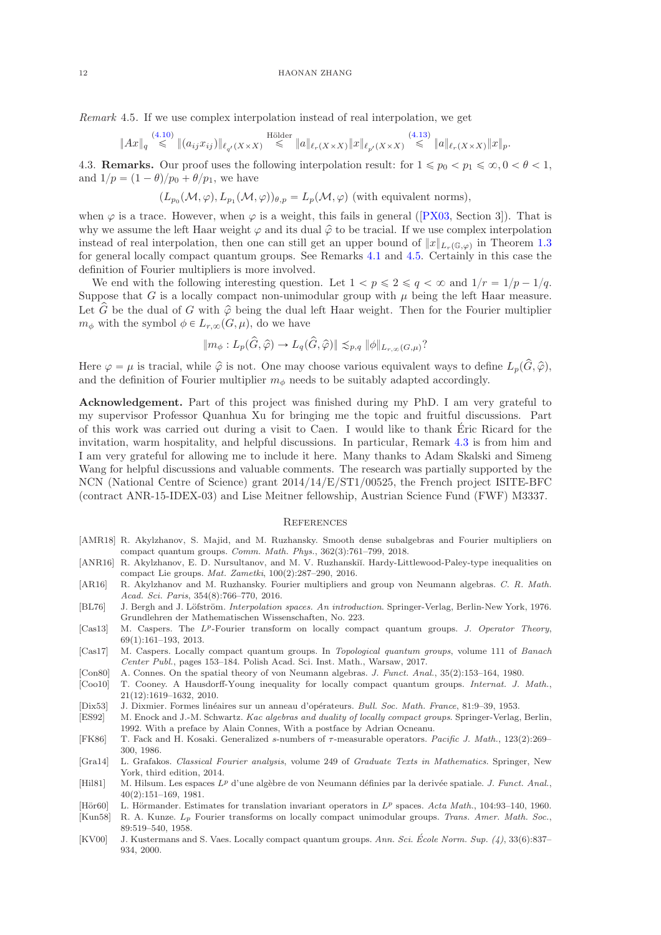<span id="page-11-16"></span>Remark 4.5. If we use complex interpolation instead of real interpolation, we get

$$
\|Ax\|_{q} \stackrel{(4.10)}{\leq} \|(a_{ij}x_{ij})\|_{\ell_{q'}(X\times X)} \stackrel{\text{Hölder}}{\leq} \|a\|_{\ell_{r}(X\times X)} \|x\|_{\ell_{p'}(X\times X)} \stackrel{(4.13)}{\leq} \|a\|_{\ell_{r}(X\times X)} \|x\|_{p}.
$$

4.3. **Remarks.** Our proof uses the following interpolation result: for  $1 \leq p_0 < p_1 \leq \infty, 0 < \theta < 1$ , and  $1/p = (1 - \theta)/p_0 + \theta/p_1$ , we have

$$
(L_{p_0}(\mathcal{M}, \varphi), L_{p_1}(\mathcal{M}, \varphi))_{\theta, p} = L_p(\mathcal{M}, \varphi)
$$
 (with equivalent norms),

when  $\varphi$  is a trace. However, when  $\varphi$  is a weight, this fails in general ([\[PX03,](#page-12-2) Section 3]). That is why we assume the left Haar weight  $\varphi$  and its dual  $\hat{\varphi}$  to be tracial. If we use complex interpolation instead of real interpolation, then one can still get an upper bound of  $||x||_{L_r(\mathbb{G},\varphi)}$  in Theorem [1.3](#page-1-1) for general locally compact quantum groups. See Remarks [4.1](#page-8-5) and [4.5.](#page-11-16) Certainly in this case the definition of Fourier multipliers is more involved.

We end with the following interesting question. Let  $1 < p \leq 2 \leq q < \infty$  and  $1/r = 1/p - 1/q$ . Suppose that G is a locally compact non-unimodular group with  $\mu$  being the left Haar measure. Let  $\hat{G}$  be the dual of G with  $\hat{\varphi}$  being the dual left Haar weight. Then for the Fourier multiplier  $m_{\phi}$  with the symbol  $\phi \in L_{r,\infty}(G, \mu)$ , do we have

$$
||m_{\phi}: L_p(\hat{G}, \hat{\varphi}) \to L_q(\hat{G}, \hat{\varphi})|| \lesssim_{p,q} ||\phi||_{L_{r,\infty}(G,\mu)}?
$$

Here  $\varphi = \mu$  is tracial, while  $\hat{\varphi}$  is not. One may choose various equivalent ways to define  $L_p(\hat{G}, \hat{\varphi})$ , and the definition of Fourier multiplier  $m_{\phi}$  needs to be suitably adapted accordingly.

Acknowledgement. Part of this project was finished during my PhD. I am very grateful to my supervisor Professor Quanhua Xu for bringing me the topic and fruitful discussions. Part of this work was carried out during a visit to Caen. I would like to thank Eric Ricard for the ´ invitation, warm hospitality, and helpful discussions. In particular, Remark [4.3](#page-9-4) is from him and I am very grateful for allowing me to include it here. Many thanks to Adam Skalski and Simeng Wang for helpful discussions and valuable comments. The research was partially supported by the NCN (National Centre of Science) grant 2014/14/E/ST1/00525, the French project ISITE-BFC (contract ANR-15-IDEX-03) and Lise Meitner fellowship, Austrian Science Fund (FWF) M3337.

#### **REFERENCES**

- <span id="page-11-3"></span>[AMR18] R. Akylzhanov, S. Majid, and M. Ruzhansky. Smooth dense subalgebras and Fourier multipliers on compact quantum groups. Comm. Math. Phys., 362(3):761–799, 2018.
- <span id="page-11-1"></span>[ANR16] R. Akylzhanov, E. D. Nursultanov, and M. V. Ruzhanskiĭ. Hardy-Littlewood-Paley-type inequalities on compact Lie groups. Mat. Zametki, 100(2):287–290, 2016.
- <span id="page-11-2"></span>[AR16] R. Akylzhanov and M. Ruzhansky. Fourier multipliers and group von Neumann algebras. C. R. Math. Acad. Sci. Paris, 354(8):766–770, 2016.
- <span id="page-11-5"></span>[BL76] J. Bergh and J. Löfström. Interpolation spaces. An introduction. Springer-Verlag, Berlin-New York, 1976. Grundlehren der Mathematischen Wissenschaften, No. 223.
- <span id="page-11-15"></span>[Cas13] M. Caspers. The L<sup>p</sup>-Fourier transform on locally compact quantum groups. J. Operator Theory, 69(1):161–193, 2013.
- <span id="page-11-9"></span>[Cas17] M. Caspers. Locally compact quantum groups. In Topological quantum groups, volume 111 of Banach Center Publ., pages 153–184. Polish Acad. Sci. Inst. Math., Warsaw, 2017.
- <span id="page-11-13"></span>[Con80] A. Connes. On the spatial theory of von Neumann algebras. J. Funct. Anal., 35(2):153–164, 1980.
- <span id="page-11-14"></span>[Coo10] T. Cooney. A Hausdorff-Young inequality for locally compact quantum groups. Internat. J. Math., 21(12):1619–1632, 2010.
- <span id="page-11-4"></span>[Dix53] J. Dixmier. Formes lin´eaires sur un anneau d'op´erateurs. Bull. Soc. Math. France, 81:9–39, 1953.
- <span id="page-11-10"></span>[ES92] M. Enock and J.-M. Schwartz. Kac algebras and duality of locally compact groups. Springer-Verlag, Berlin, 1992. With a preface by Alain Connes, With a postface by Adrian Ocneanu.
- <span id="page-11-6"></span>[FK86] T. Fack and H. Kosaki. Generalized s-numbers of τ-measurable operators. Pacific J. Math., 123(2):269– 300, 1986.
- <span id="page-11-7"></span>[Gra14] L. Grafakos. Classical Fourier analysis, volume 249 of Graduate Texts in Mathematics. Springer, New York, third edition, 2014.
- <span id="page-11-12"></span>[Hil81] M. Hilsum. Les espaces  $L^p$  d'une algèbre de von Neumann définies par la derivée spatiale. *J. Funct. Anal.*, 40(2):151–169, 1981.
- <span id="page-11-0"></span>[Hör60] L. Hörmander. Estimates for translation invariant operators in  $L^p$  spaces. Acta Math., 104:93-140, 1960.
- <span id="page-11-11"></span>[Kun58] R. A. Kunze. Lp Fourier transforms on locally compact unimodular groups. Trans. Amer. Math. Soc., 89:519–540, 1958.
- <span id="page-11-8"></span>[KV00] J. Kustermans and S. Vaes. Locally compact quantum groups. Ann. Sci. École Norm. Sup.  $(4)$ , 33(6):837– 934, 2000.